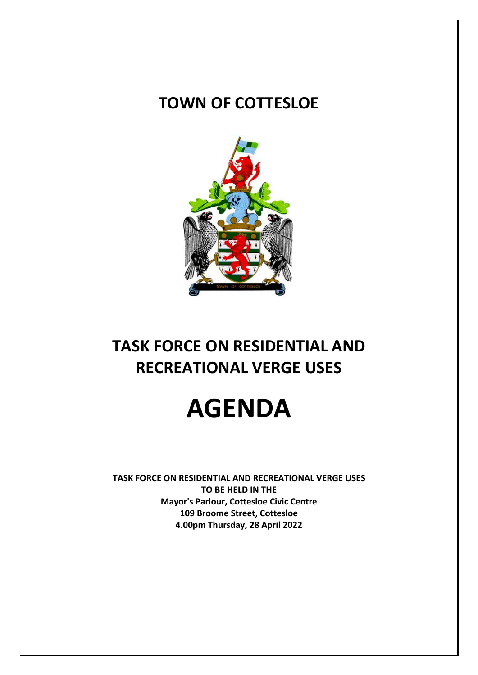### **TOWN OF COTTESLOE**



## **TASK FORCE ON RESIDENTIAL AND RECREATIONAL VERGE USES**

# **AGENDA**

**TASK FORCE ON RESIDENTIAL AND RECREATIONAL VERGE USES TO BE HELD IN THE Mayor's Parlour, Cottesloe Civic Centre 109 Broome Street, Cottesloe 4.00pm Thursday, 28 April 2022**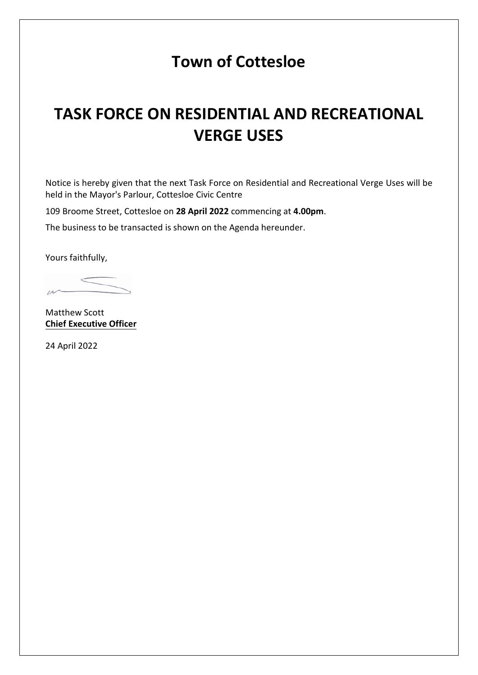### **Town of Cottesloe**

## **TASK FORCE ON RESIDENTIAL AND RECREATIONAL VERGE USES**

Notice is hereby given that the next Task Force on Residential and Recreational Verge Uses will be held in the Mayor's Parlour, Cottesloe Civic Centre

109 Broome Street, Cottesloe on **28 April 2022** commencing at **4.00pm**.

The business to be transacted is shown on the Agenda hereunder.

Yours faithfully,

 $\mu$ 

Matthew Scott **Chief Executive Officer**

24 April 2022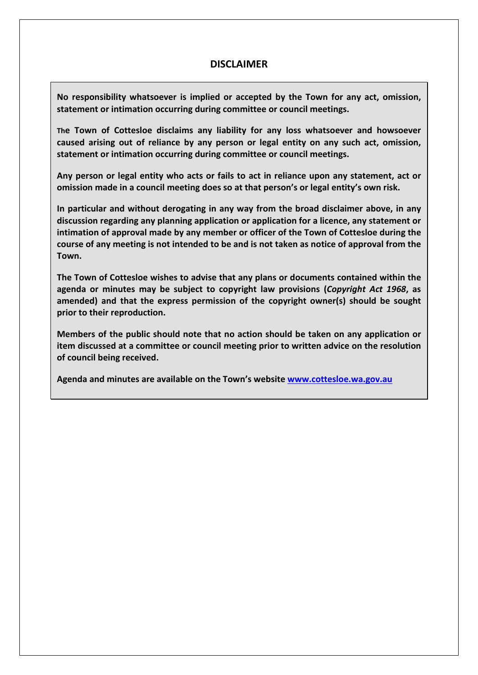### **DISCLAIMER**

**No responsibility whatsoever is implied or accepted by the Town for any act, omission, statement or intimation occurring during committee or council meetings.**

**The Town of Cottesloe disclaims any liability for any loss whatsoever and howsoever caused arising out of reliance by any person or legal entity on any such act, omission, statement or intimation occurring during committee or council meetings.**

**Any person or legal entity who acts or fails to act in reliance upon any statement, act or omission made in a council meeting does so at that person's or legal entity's own risk.**

**In particular and without derogating in any way from the broad disclaimer above, in any discussion regarding any planning application or application for a licence, any statement or intimation of approval made by any member or officer of the Town of Cottesloe during the course of any meeting is not intended to be and is not taken as notice of approval from the Town.**

**The Town of Cottesloe wishes to advise that any plans or documents contained within the agenda or minutes may be subject to copyright law provisions (***Copyright Act 1968***, as amended) and that the express permission of the copyright owner(s) should be sought prior to their reproduction.**

**Members of the public should note that no action should be taken on any application or item discussed at a committee or council meeting prior to written advice on the resolution of council being received.**

**Agenda and minutes are available on the Town's website www.cottesloe.wa.gov.au**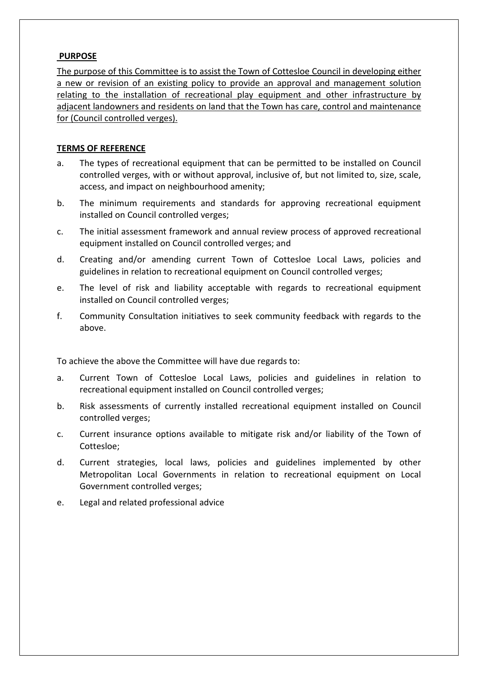#### **PURPOSE**

The purpose of this Committee is to assist the Town of Cottesloe Council in developing either a new or revision of an existing policy to provide an approval and management solution relating to the installation of recreational play equipment and other infrastructure by adjacent landowners and residents on land that the Town has care, control and maintenance for (Council controlled verges).

#### **TERMS OF REFERENCE**

- a. The types of recreational equipment that can be permitted to be installed on Council controlled verges, with or without approval, inclusive of, but not limited to, size, scale, access, and impact on neighbourhood amenity;
- b. The minimum requirements and standards for approving recreational equipment installed on Council controlled verges;
- c. The initial assessment framework and annual review process of approved recreational equipment installed on Council controlled verges; and
- d. Creating and/or amending current Town of Cottesloe Local Laws, policies and guidelines in relation to recreational equipment on Council controlled verges;
- e. The level of risk and liability acceptable with regards to recreational equipment installed on Council controlled verges;
- f. Community Consultation initiatives to seek community feedback with regards to the above.

To achieve the above the Committee will have due regards to:

- a. Current Town of Cottesloe Local Laws, policies and guidelines in relation to recreational equipment installed on Council controlled verges;
- b. Risk assessments of currently installed recreational equipment installed on Council controlled verges;
- c. Current insurance options available to mitigate risk and/or liability of the Town of Cottesloe;
- d. Current strategies, local laws, policies and guidelines implemented by other Metropolitan Local Governments in relation to recreational equipment on Local Government controlled verges;
- e. Legal and related professional advice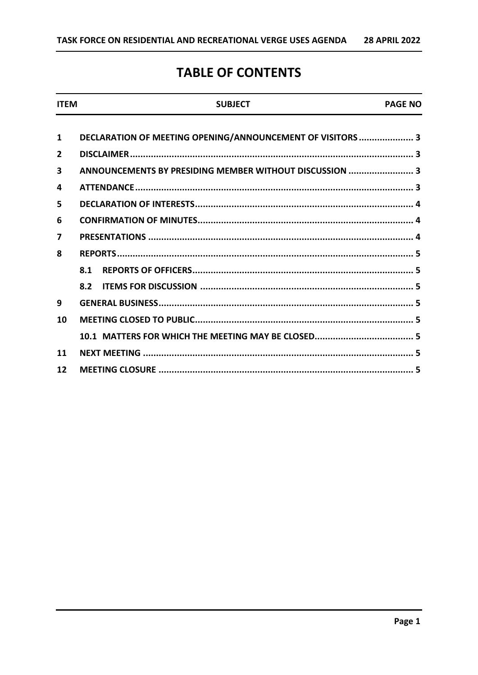### **TABLE OF CONTENTS**

| <b>ITFM</b>             | <b>SUBJECT</b>                                             | <b>PAGE NO</b> |
|-------------------------|------------------------------------------------------------|----------------|
| 1                       | DECLARATION OF MEETING OPENING/ANNOUNCEMENT OF VISITORS  3 |                |
| $\mathbf{2}$            |                                                            |                |
| $\overline{\mathbf{3}}$ | ANNOUNCEMENTS BY PRESIDING MEMBER WITHOUT DISCUSSION  3    |                |
| 4                       |                                                            |                |
| 5                       |                                                            |                |
| 6                       |                                                            |                |
| 7                       |                                                            |                |
| 8                       |                                                            |                |
|                         | 8.1                                                        |                |
|                         |                                                            |                |
| 9                       |                                                            |                |
| 10                      |                                                            |                |
|                         |                                                            |                |
| 11                      |                                                            |                |
| 12                      |                                                            |                |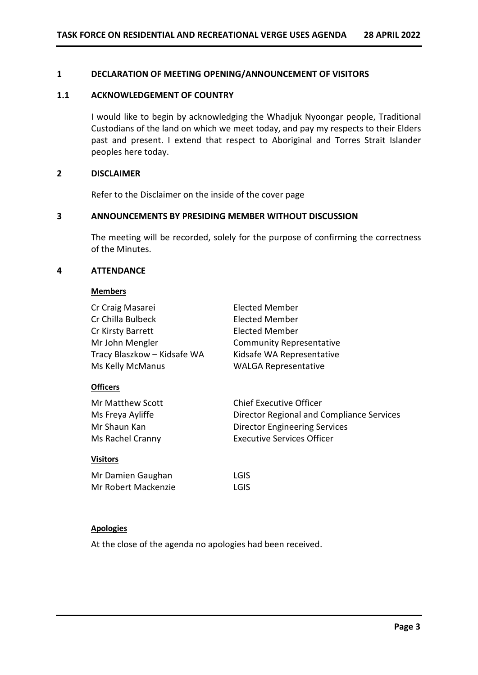#### <span id="page-6-0"></span>**1 DECLARATION OF MEETING OPENING/ANNOUNCEMENT OF VISITORS**

#### <span id="page-6-1"></span>**1.1 ACKNOWLEDGEMENT OF COUNTRY**

I would like to begin by acknowledging the Whadjuk Nyoongar people, Traditional Custodians of the land on which we meet today, and pay my respects to their Elders past and present. I extend that respect to Aboriginal and Torres Strait Islander peoples here today.

#### **2 DISCLAIMER**

Refer to the Disclaimer on the inside of the cover page

#### <span id="page-6-2"></span>**3 ANNOUNCEMENTS BY PRESIDING MEMBER WITHOUT DISCUSSION**

The meeting will be recorded, solely for the purpose of confirming the correctness of the Minutes.

#### <span id="page-6-3"></span>**4 ATTENDANCE**

#### **Members**

| Cr Craig Masarei            | Elected Member                            |  |  |
|-----------------------------|-------------------------------------------|--|--|
| Cr Chilla Bulbeck           | Elected Member                            |  |  |
| Cr Kirsty Barrett           | Elected Member                            |  |  |
| Mr John Mengler             | <b>Community Representative</b>           |  |  |
| Tracy Blaszkow – Kidsafe WA | Kidsafe WA Representative                 |  |  |
| Ms Kelly McManus            | <b>WALGA Representative</b>               |  |  |
| <b>Officers</b>             |                                           |  |  |
| <b>Mr Matthew Scott</b>     | <b>Chief Executive Officer</b>            |  |  |
| Ms Freya Ayliffe            | Director Regional and Compliance Services |  |  |
| Mr Shaun Kan                | <b>Director Engineering Services</b>      |  |  |
| Ms Rachel Cranny            | <b>Executive Services Officer</b>         |  |  |
| <b>Visitors</b>             |                                           |  |  |

Mr Damien Gaughan LGIS Mr Robert Mackenzie LGIS

#### **Apologies**

At the close of the agenda no apologies had been received.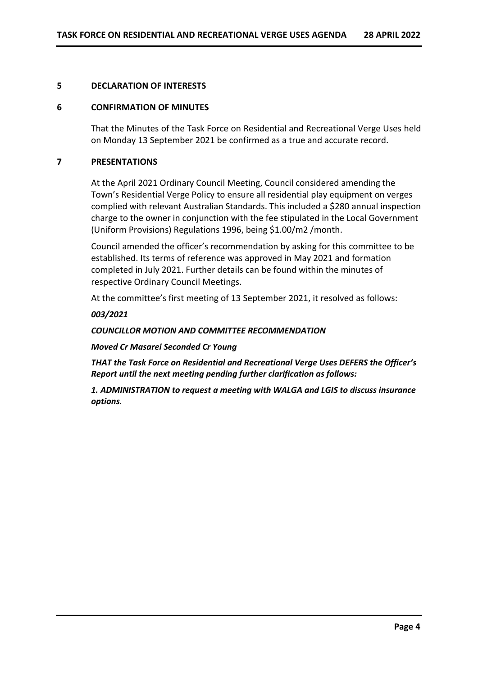#### <span id="page-7-0"></span>**5 DECLARATION OF INTERESTS**

#### <span id="page-7-1"></span>**6 CONFIRMATION OF MINUTES**

That the Minutes of the Task Force on Residential and Recreational Verge Uses held on Monday 13 September 2021 be confirmed as a true and accurate record.

#### <span id="page-7-2"></span>**7 PRESENTATIONS**

At the April 2021 Ordinary Council Meeting, Council considered amending the Town's Residential Verge Policy to ensure all residential play equipment on verges complied with relevant Australian Standards. This included a \$280 annual inspection charge to the owner in conjunction with the fee stipulated in the Local Government (Uniform Provisions) Regulations 1996, being \$1.00/m2 /month.

Council amended the officer's recommendation by asking for this committee to be established. Its terms of reference was approved in May 2021 and formation completed in July 2021. Further details can be found within the minutes of respective Ordinary Council Meetings.

At the committee's first meeting of 13 September 2021, it resolved as follows:

#### *003/2021*

#### *COUNCILLOR MOTION AND COMMITTEE RECOMMENDATION*

*Moved Cr Masarei Seconded Cr Young* 

*THAT the Task Force on Residential and Recreational Verge Uses DEFERS the Officer's Report until the next meeting pending further clarification as follows:*

*1. ADMINISTRATION to request a meeting with WALGA and LGIS to discuss insurance options.*